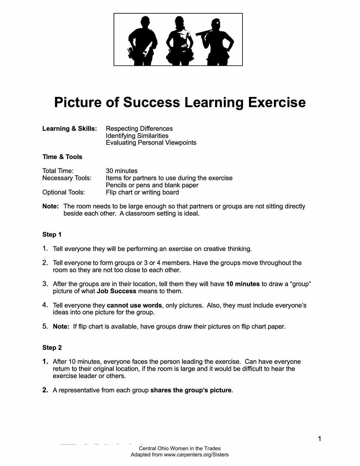

# **Picture of Success Learning Exercise**

| <b>Learning &amp; Skills:</b> | <b>Respecting Differences</b>         |
|-------------------------------|---------------------------------------|
|                               | <b>Identifying Similarities</b>       |
|                               | <b>Evaluating Personal Viewpoints</b> |

### **Time & Tools**

| Total Time:             | 30 minutes                                    |
|-------------------------|-----------------------------------------------|
| <b>Necessary Tools:</b> | Items for partners to use during the exercise |
|                         | Pencils or pens and blank paper               |
| <b>Optional Tools:</b>  | Flip chart or writing board                   |

**Note:** The room needs to be large enough so that partners or groups are not sitting directly beside each other. A classroom setting is ideal.

## **Step 1**

- 1. Tell everyone they will be performing an exercise on creative thinking.
- 2. Tell everyone to form groups or 3 or 4 members. Have the groups move throughout the room so they are not too close to each other.
- 3. After the groups are in their location, tell them they will have **10 minutes** to draw a "group" picture of what **Job Success** means to them.
- 4. Tell everyone they **cannot use words,** only pictures. Also, they must include everyone's ideas into one picture for the group.
- 5. **Note:** If flip chart is available, have groups draw their pictures on flip chart paper.

#### **Step 2**

- 1. After 10 minutes, everyone faces the person leading the exercise. Can have everyone return to their original location, if the room is large and it would be difficult to hear the exercise leader or others.
- **2.** A representative from each group **shares the group's picture.**